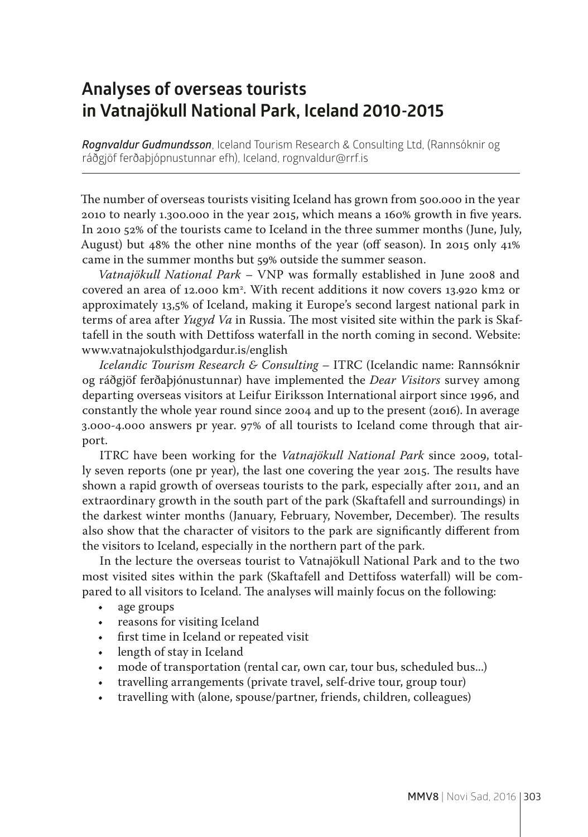## **Analyses of overseas tourists in Vatnajökull National Park, Iceland 2010-2015**

*Rognvaldur Gudmundsson*, Iceland Tourism Research & Consulting Ltd, (Rannsóknir og ráðgjöf ferðaþjópnustunnar efh), Iceland, rognvaldur@rrf.is

The number of overseas tourists visiting Iceland has grown from 500.000 in the year 2010 to nearly 1.300.000 in the year 2015, which means a 160% growth in five years. In 2010 52% of the tourists came to Iceland in the three summer months (June, July, August) but 48% the other nine months of the year (off season). In 2015 only 41% came in the summer months but 59% outside the summer season.

*Vatnajökull National Park –* VNP was formally established in June 2008 and covered an area of 12.000 km2 . With recent additions it now covers 13.920 km2 or approximately 13,5% of Iceland, making it Europe's second largest national park in terms of area after *Yugyd Va* in Russia. The most visited site within the park is Skaftafell in the south with Dettifoss waterfall in the north coming in second. Website: www.vatnajokulsthjodgardur.is/english

*Icelandic Tourism Research & Consulting* – ITRC (Icelandic name: Rannsóknir og ráðgjöf ferðaþjónustunnar) have implemented the *Dear Visitors* survey among departing overseas visitors at Leifur Eiriksson International airport since 1996, and constantly the whole year round since 2004 and up to the present (2016). In average 3.000-4.000 answers pr year. 97% of all tourists to Iceland come through that airport.

ITRC have been working for the *Vatnajökull National Park* since 2009, totally seven reports (one pr year), the last one covering the year 2015. The results have shown a rapid growth of overseas tourists to the park, especially after 2011, and an extraordinary growth in the south part of the park (Skaftafell and surroundings) in the darkest winter months (January, February, November, December). The results also show that the character of visitors to the park are significantly different from the visitors to Iceland, especially in the northern part of the park.

In the lecture the overseas tourist to Vatnajökull National Park and to the two most visited sites within the park (Skaftafell and Dettifoss waterfall) will be compared to all visitors to Iceland. The analyses will mainly focus on the following:

- age groups
- reasons for visiting Iceland
- first time in Iceland or repeated visit
- length of stay in Iceland
- mode of transportation (rental car, own car, tour bus, scheduled bus...)
- travelling arrangements (private travel, self-drive tour, group tour)
- travelling with (alone, spouse/partner, friends, children, colleagues)